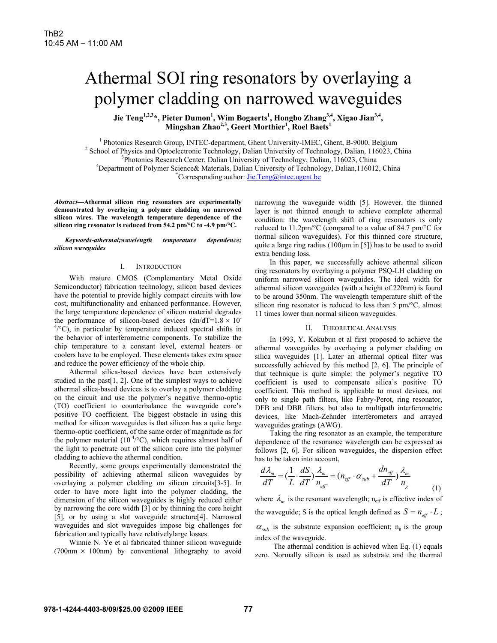# Athermal SOI ring resonators by overlaying a polymer cladding on narrowed waveguides

Jie Teng<sup>1,2,3</sup>\*, Pieter Dumon<sup>1</sup>, Wim Bogaerts<sup>1</sup>, Hongbo Zhang<sup>3,4</sup>, Xigao Jian<sup>3,4</sup>, **Mingshan Zhao2,3, Geert Morthier1 , Roel Baets<sup>1</sup>**

<sup>1</sup> Photonics Research Group, INTEC-department, Ghent University-IMEC, Ghent, B-9000, Belgium<br><sup>2</sup> Seboal of Physics and Optoalectronic Technology, Delian University of Technology, Delian, 116023, C

<sup>2</sup> School of Physics and Optoelectronic Technology, Dalian University of Technology, Dalian, 116023, China

<sup>3</sup>Photonics Research Center, Dalian University of Technology, Dalian, 116023, China

<sup>4</sup>Department of Polymer Science& Materials, Dalian University of Technology, Dalian,116012, China

Corresponding author: *Jie.Teng@intec.ugent.be* 

*Abstract***—Athermal silicon ring resonators are experimentally demonstrated by overlaying a polymer cladding on narrowed silicon wires. The wavelength temperature dependence of the silicon ring resonator is reduced from 54.2 pm/°C to -4.9 pm/°C.** 

*Keywords-athermal;wavelength temperature dependence; silicon waveguides* 

## I. INTRODUCTION

With mature CMOS (Complementary Metal Oxide Semiconductor) fabrication technology, silicon based devices have the potential to provide highly compact circuits with low cost, multifunctionality and enhanced performance. However, the large temperature dependence of silicon material degrades the performance of silicon-based devices  $(dn/dT=1.8 \times 10^{-10})$  $4^{\circ}$ °C), in particular by temperature induced spectral shifts in the behavior of interferometric components. To stabilize the chip temperature to a constant level, external heaters or coolers have to be employed. These elements takes extra space and reduce the power efficiency of the whole chip.

Athermal silica-based devices have been extensively studied in the past[1, 2]. One of the simplest ways to achieve athermal silica-based devices is to overlay a polymer cladding on the circuit and use the polymer's negative thermo-optic (TO) coefficient to counterbalance the waveguide core's positive TO coefficient. The biggest obstacle in using this method for silicon waveguides is that silicon has a quite large thermo-optic coefficient, of the same order of magnitude as for the polymer material  $(10^{-4}/^{\circ}C)$ , which requires almost half of the light to penetrate out of the silicon core into the polymer cladding to achieve the athermal condition.

Recently, some groups experimentally demonstrated the possibility of achieving athermal silicon waveguides by overlaying a polymer cladding on silicon circuits[3-5]. In order to have more light into the polymer cladding, the dimension of the silicon waveguides is highly reduced either by narrowing the core width [3] or by thinning the core height [5], or by using a slot waveguide structure[4]. Narrowed waveguides and slot waveguides impose big challenges for fabrication and typically have relativelylarge losses.

Winnie N. Ye et al fabricated thinner silicon waveguide  $(700nm \times 100nm)$  by conventional lithography to avoid narrowing the waveguide width [5]. However, the thinned layer is not thinned enough to achieve complete athermal condition: the wavelength shift of ring resonators is only reduced to 11.2pm/°C (compared to a value of 84.7 pm/°C for normal silicon waveguides). For this thinned core structure, quite a large ring radius (100μm in [5]) has to be used to avoid extra bending loss.

In this paper, we successfully achieve athermal silicon ring resonators by overlaying a polymer PSQ-LH cladding on uniform narrowed silicon waveguides. The ideal width for athermal silicon waveguides (with a height of 220nm) is found to be around 350nm. The wavelength temperature shift of the silicon ring resonator is reduced to less than 5 pm/°C, almost 11 times lower than normal silicon waveguides.

## II. THEORETICAL ANALYSIS

In 1993, Y. Kokubun et al first proposed to achieve the athermal waveguides by overlaying a polymer cladding on silica waveguides [1]. Later an athermal optical filter was successfully achieved by this method [2, 6]. The principle of that technique is quite simple: the polymer's negative TO coefficient is used to compensate silica's positive TO coefficient. This method is applicable to most devices, not only to single path filters, like Fabry-Perot, ring resonator, DFB and DBR filters, but also to multipath interferometric devices, like Mach-Zehnder interferometers and arrayed waveguides gratings (AWG).

Taking the ring resonator as an example, the temperature dependence of the resonance wavelength can be expressed as follows [2, 6]. For silicon waveguides, the dispersion effect has to be taken into account,

$$
\frac{d\lambda_m}{dT} = \left(\frac{1}{L} \cdot \frac{dS}{dT}\right) \frac{\lambda_m}{n_{\text{eff}}} = \left(n_{\text{eff}} \cdot \alpha_{\text{sub}} + \frac{dn_{\text{eff}}}{dT}\right) \frac{\lambda_m}{n_g} \tag{1}
$$

where  $\lambda_m$  is the resonant wavelength; n<sub>eff</sub> is effective index of the waveguide; S is the optical length defined as  $S = n_{\text{eff}} \cdot L$ ;  $\alpha_{sub}$  is the substrate expansion coefficient;  $n_g$  is the group index of the waveguide.

The athermal condition is achieved when Eq. (1) equals zero. Normally silicon is used as substrate and the thermal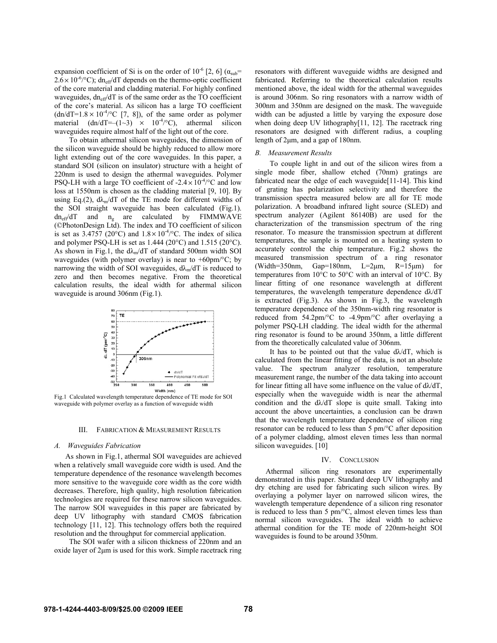expansion coefficient of Si is on the order of  $10^{-6}$  [2, 6] ( $\alpha_{sub}$ =  $2.6 \times 10^{-6}$ /°C); dn<sub>eff</sub>/dT depends on the thermo-optic coefficient of the core material and cladding material. For highly confined waveguides,  $dn_{eff}/dT$  is of the same order as the TO coefficient of the core's material. As silicon has a large TO coefficient  $(dn/dT=1.8 \times 10^{-4}$  (°C [7, 8]), of the same order as polymer material  $(dn/dT= (1-3) \times 10^{-4}$ °C), athermal silicon waveguides require almost half of the light out of the core.

To obtain athermal silicon waveguides, the dimension of the silicon waveguide should be highly reduced to allow more light extending out of the core waveguides. In this paper, a standard SOI (silicon on insulator) structure with a height of 220nm is used to design the athermal waveguides. Polymer PSQ-LH with a large TO coefficient of  $-2.4 \times 10^{-4}$  °C and low loss at 1550nm is chosen as the cladding material [9, 10]. By using Eq.(2),  $d\lambda_m/dT$  of the TE mode for different widths of the SOI straight waveguide has been calculated (Fig.1).  $dn_{eff}/dT$  and  $n_g$  are calculated by FIMMWAVE (©PhotonDesign Ltd). The index and TO coefficient of silicon is set as 3.4757 (20°C) and  $1.8 \times 10^{-4}$ °C. The index of silica and polymer PSQ-LH is set as 1.444 (20°C) and 1.515 (20°C). As shown in Fig.1, the  $d\lambda_m/dT$  of standard 500nm width SOI waveguides (with polymer overlay) is near to  $+60 \text{pm}/^{\circ}\text{C}$ ; by narrowing the width of SOI waveguides,  $d\lambda_{m}/dT$  is reduced to zero and then becomes negative. From the theoretical calculation results, the ideal width for athermal silicon waveguide is around 306nm (Fig.1).



 Fig.1 Calculated wavelength temperature dependence of TE mode for SOI waveguide with polymer overlay as a function of waveguide width

## III. FABRICATION & MEASUREMENT RESULTS

### *A. Waveguides Fabrication*

As shown in Fig.1, athermal SOI waveguides are achieved when a relatively small waveguide core width is used. And the temperature dependence of the resonance wavelength becomes more sensitive to the waveguide core width as the core width decreases. Therefore, high quality, high resolution fabrication technologies are required for these narrow silicon waveguides. The narrow SOI waveguides in this paper are fabricated by deep UV lithography with standard CMOS fabrication technology [11, 12]. This technology offers both the required resolution and the throughput for commercial application.

The SOI wafer with a silicon thickness of 220nm and an oxide layer of 2μm is used for this work. Simple racetrack ring resonators with different waveguide widths are designed and fabricated. Referring to the theoretical calculation results mentioned above, the ideal width for the athermal waveguides is around 306nm. So ring resonators with a narrow width of 300nm and 350nm are designed on the mask. The waveguide width can be adjusted a little by varying the exposure dose when doing deep UV lithography[11, 12]. The racetrack ring resonators are designed with different radius, a coupling length of 2μm, and a gap of 180nm.

## *B. Measurement Results*

To couple light in and out of the silicon wires from a single mode fiber, shallow etched (70nm) gratings are fabricated near the edge of each waveguide[11-14]. This kind of grating has polarization selectivity and therefore the transmission spectra measured below are all for TE mode polarization. A broadband infrared light source (SLED) and spectrum analyzer (Agilent 86140B) are used for the characterization of the transmission spectrum of the ring resonator. To measure the transmission spectrum at different temperatures, the sample is mounted on a heating system to accurately control the chip temperature. Fig.2 shows the measured transmission spectrum of a ring resonator (Width=350nm, Gap=180nm, L=2 $\mu$ m, R=15 $\mu$ m) for temperatures from 10°C to 50°C with an interval of 10°C. By linear fitting of one resonance wavelength at different temperatures, the wavelength temperature dependence dλ/dT is extracted (Fig.3). As shown in Fig.3, the wavelength temperature dependence of the 350nm-width ring resonator is reduced from 54.2pm/°C to -4.9pm/°C after overlaying a polymer PSQ-LH cladding. The ideal width for the athermal ring resonator is found to be around 350nm, a little different from the theoretically calculated value of 306nm.

It has to be pointed out that the value  $d\lambda/dT$ , which is calculated from the linear fitting of the data, is not an absolute value. The spectrum analyzer resolution, temperature measurement range, the number of the data taking into account for linear fitting all have some influence on the value of  $d\lambda/dT$ , especially when the waveguide width is near the athermal condition and the dλ/dT slope is quite small. Taking into account the above uncertainties, a conclusion can be drawn that the wavelength temperature dependence of silicon ring resonator can be reduced to less than 5 pm/°C after deposition of a polymer cladding, almost eleven times less than normal silicon waveguides. [10]

## IV. CONCLUSION

Athermal silicon ring resonators are experimentally demonstrated in this paper. Standard deep UV lithography and dry etching are used for fabricating such silicon wires. By overlaying a polymer layer on narrowed silicon wires, the wavelength temperature dependence of a silicon ring resonator is reduced to less than 5 pm/°C, almost eleven times less than normal silicon waveguides. The ideal width to achieve athermal condition for the TE mode of 220nm-height SOI waveguides is found to be around 350nm.